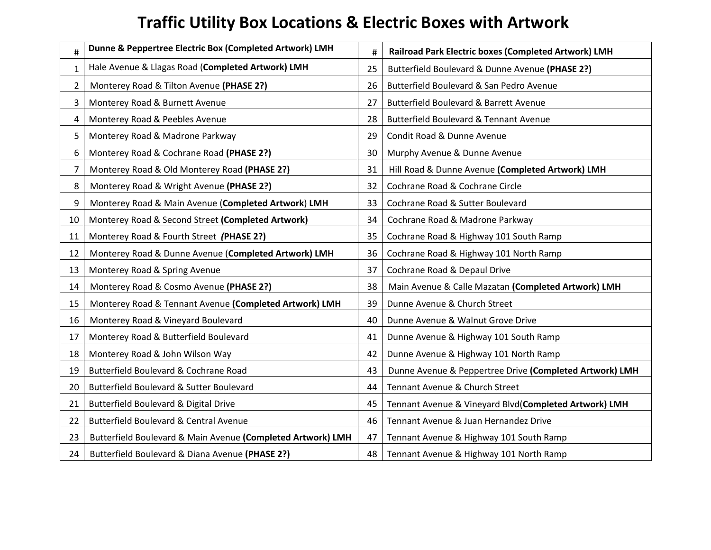## **Traffic Utility Box Locations & Electric Boxes with Artwork**

| $\#$           | Dunne & Peppertree Electric Box (Completed Artwork) LMH     | #  | Railroad Park Electric boxes (Completed Artwork) LMH    |  |
|----------------|-------------------------------------------------------------|----|---------------------------------------------------------|--|
| $\mathbf{1}$   | Hale Avenue & Llagas Road (Completed Artwork) LMH           | 25 | Butterfield Boulevard & Dunne Avenue (PHASE 2?)         |  |
| $\overline{2}$ | Monterey Road & Tilton Avenue (PHASE 2?)                    | 26 | Butterfield Boulevard & San Pedro Avenue                |  |
| 3              | Monterey Road & Burnett Avenue                              | 27 | Butterfield Boulevard & Barrett Avenue                  |  |
| 4              | Monterey Road & Peebles Avenue                              | 28 | <b>Butterfield Boulevard &amp; Tennant Avenue</b>       |  |
| 5              | Monterey Road & Madrone Parkway                             | 29 | Condit Road & Dunne Avenue                              |  |
| 6              | Monterey Road & Cochrane Road (PHASE 2?)                    | 30 | Murphy Avenue & Dunne Avenue                            |  |
| $\overline{7}$ | Monterey Road & Old Monterey Road (PHASE 2?)                | 31 | Hill Road & Dunne Avenue (Completed Artwork) LMH        |  |
| 8              | Monterey Road & Wright Avenue (PHASE 2?)                    | 32 | Cochrane Road & Cochrane Circle                         |  |
| 9              | Monterey Road & Main Avenue (Completed Artwork) LMH         | 33 | Cochrane Road & Sutter Boulevard                        |  |
| 10             | Monterey Road & Second Street (Completed Artwork)           | 34 | Cochrane Road & Madrone Parkway                         |  |
| 11             | Monterey Road & Fourth Street (PHASE 2?)                    | 35 | Cochrane Road & Highway 101 South Ramp                  |  |
| 12             | Monterey Road & Dunne Avenue (Completed Artwork) LMH        | 36 | Cochrane Road & Highway 101 North Ramp                  |  |
| 13             | Monterey Road & Spring Avenue                               | 37 | Cochrane Road & Depaul Drive                            |  |
| 14             | Monterey Road & Cosmo Avenue (PHASE 2?)                     | 38 | Main Avenue & Calle Mazatan (Completed Artwork) LMH     |  |
| 15             | Monterey Road & Tennant Avenue (Completed Artwork) LMH      | 39 | Dunne Avenue & Church Street                            |  |
| 16             | Monterey Road & Vineyard Boulevard                          | 40 | Dunne Avenue & Walnut Grove Drive                       |  |
| 17             | Monterey Road & Butterfield Boulevard                       | 41 | Dunne Avenue & Highway 101 South Ramp                   |  |
| 18             | Monterey Road & John Wilson Way                             | 42 | Dunne Avenue & Highway 101 North Ramp                   |  |
| 19             | Butterfield Boulevard & Cochrane Road                       | 43 | Dunne Avenue & Peppertree Drive (Completed Artwork) LMH |  |
| 20             | Butterfield Boulevard & Sutter Boulevard                    | 44 | Tennant Avenue & Church Street                          |  |
| 21             | Butterfield Boulevard & Digital Drive                       | 45 | Tennant Avenue & Vineyard Blvd(Completed Artwork) LMH   |  |
| 22             | <b>Butterfield Boulevard &amp; Central Avenue</b>           | 46 | Tennant Avenue & Juan Hernandez Drive                   |  |
| 23             | Butterfield Boulevard & Main Avenue (Completed Artwork) LMH | 47 | Tennant Avenue & Highway 101 South Ramp                 |  |
| 24             | Butterfield Boulevard & Diana Avenue (PHASE 2?)             | 48 | Tennant Avenue & Highway 101 North Ramp                 |  |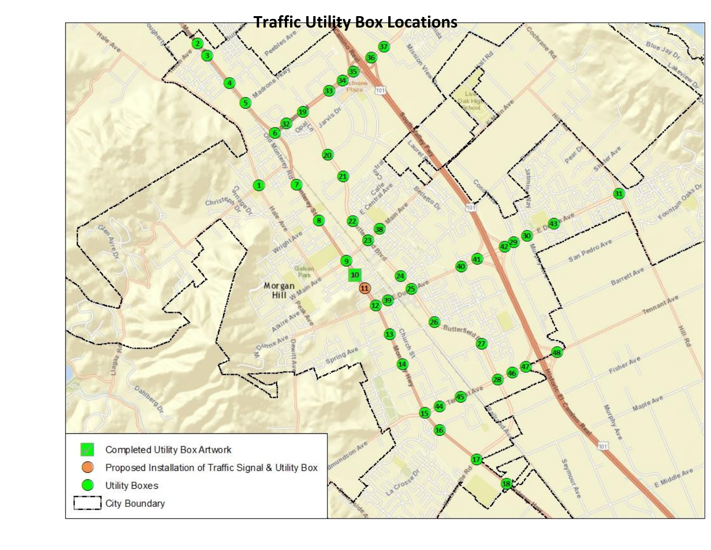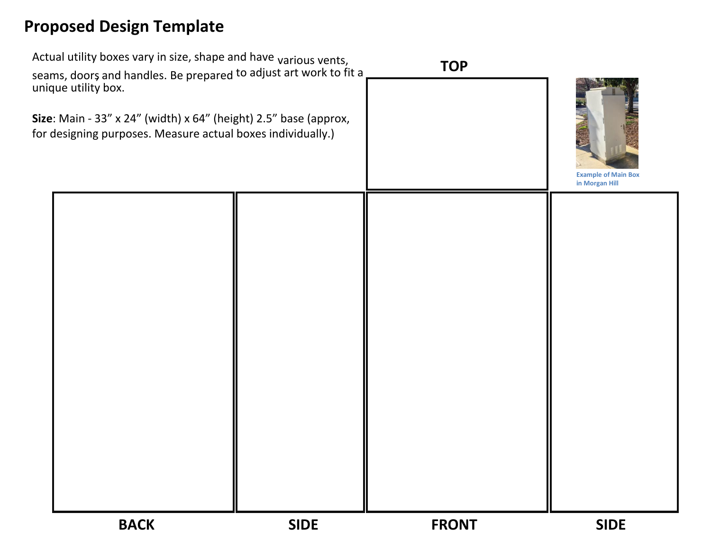## **Proposed Design Template**

| unique utility box. | Actual utility boxes vary in size, shape and have <sub>Various</sub> vents,<br>seams, doors and handles. Be prepared to adjust art work to fit a<br>Size: Main - 33" x 24" (width) x 64" (height) 2.5" base (approx,<br>for designing purposes. Measure actual boxes individually.) |             | <b>TOP</b>   | <b>Example of Main Box</b><br>in Morgan Hill |
|---------------------|-------------------------------------------------------------------------------------------------------------------------------------------------------------------------------------------------------------------------------------------------------------------------------------|-------------|--------------|----------------------------------------------|
|                     |                                                                                                                                                                                                                                                                                     |             |              |                                              |
|                     | <b>BACK</b>                                                                                                                                                                                                                                                                         | <b>SIDE</b> | <b>FRONT</b> | <b>SIDE</b>                                  |